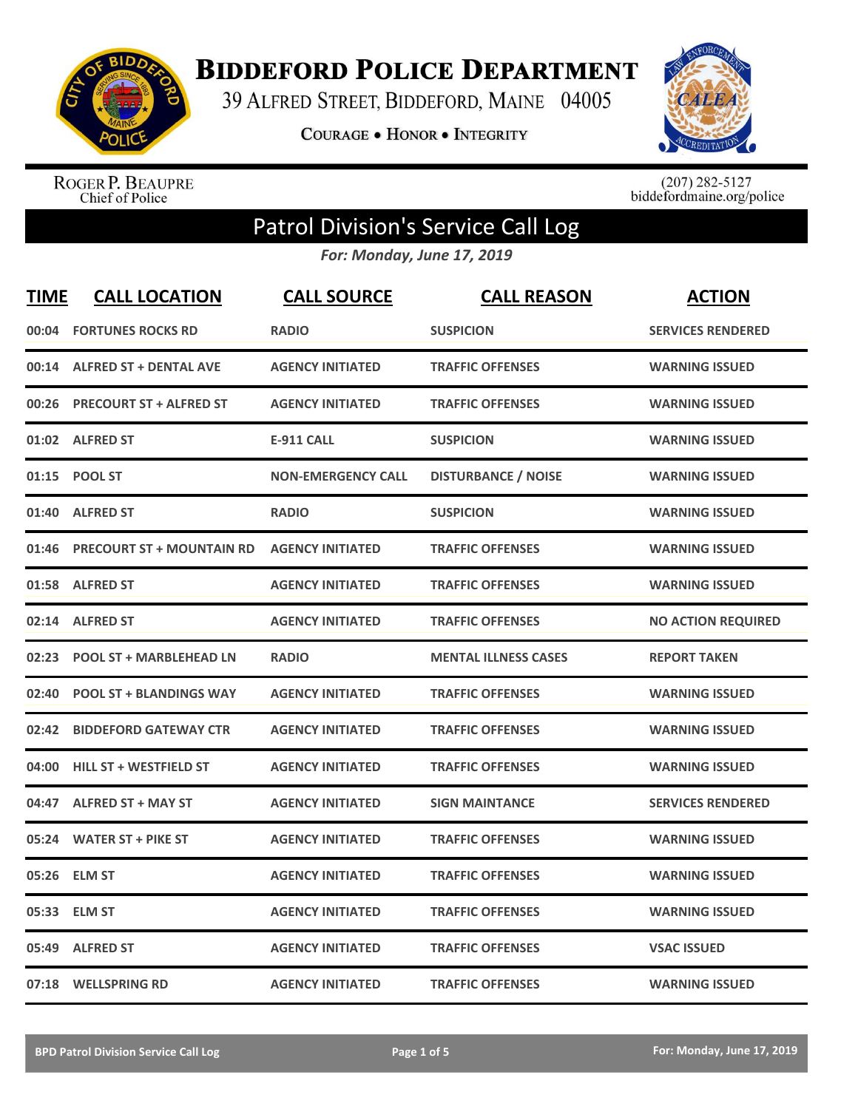

**BIDDEFORD POLICE DEPARTMENT** 

39 ALFRED STREET, BIDDEFORD, MAINE 04005

**COURAGE . HONOR . INTEGRITY** 



ROGER P. BEAUPRE<br>Chief of Police

 $(207)$  282-5127<br>biddefordmaine.org/police

## Patrol Division's Service Call Log

*For: Monday, June 17, 2019*

| <b>TIME</b> | <b>CALL LOCATION</b>             | <b>CALL SOURCE</b>        | <b>CALL REASON</b>          | <b>ACTION</b>             |
|-------------|----------------------------------|---------------------------|-----------------------------|---------------------------|
| 00:04       | <b>FORTUNES ROCKS RD</b>         | <b>RADIO</b>              | <b>SUSPICION</b>            | <b>SERVICES RENDERED</b>  |
|             | 00:14 ALFRED ST + DENTAL AVE     | <b>AGENCY INITIATED</b>   | <b>TRAFFIC OFFENSES</b>     | <b>WARNING ISSUED</b>     |
| 00:26       | <b>PRECOURT ST + ALFRED ST</b>   | <b>AGENCY INITIATED</b>   | <b>TRAFFIC OFFENSES</b>     | <b>WARNING ISSUED</b>     |
|             | 01:02 ALFRED ST                  | <b>E-911 CALL</b>         | <b>SUSPICION</b>            | <b>WARNING ISSUED</b>     |
| 01:15       | <b>POOL ST</b>                   | <b>NON-EMERGENCY CALL</b> | <b>DISTURBANCE / NOISE</b>  | <b>WARNING ISSUED</b>     |
| 01:40       | <b>ALFRED ST</b>                 | <b>RADIO</b>              | <b>SUSPICION</b>            | <b>WARNING ISSUED</b>     |
| 01:46       | <b>PRECOURT ST + MOUNTAIN RD</b> | <b>AGENCY INITIATED</b>   | <b>TRAFFIC OFFENSES</b>     | <b>WARNING ISSUED</b>     |
| 01:58       | <b>ALFRED ST</b>                 | <b>AGENCY INITIATED</b>   | <b>TRAFFIC OFFENSES</b>     | <b>WARNING ISSUED</b>     |
| 02:14       | <b>ALFRED ST</b>                 | <b>AGENCY INITIATED</b>   | <b>TRAFFIC OFFENSES</b>     | <b>NO ACTION REQUIRED</b> |
| 02:23       | <b>POOL ST + MARBLEHEAD LN</b>   | <b>RADIO</b>              | <b>MENTAL ILLNESS CASES</b> | <b>REPORT TAKEN</b>       |
| 02:40       | <b>POOL ST + BLANDINGS WAY</b>   | <b>AGENCY INITIATED</b>   | <b>TRAFFIC OFFENSES</b>     | <b>WARNING ISSUED</b>     |
| 02:42       | <b>BIDDEFORD GATEWAY CTR</b>     | <b>AGENCY INITIATED</b>   | <b>TRAFFIC OFFENSES</b>     | <b>WARNING ISSUED</b>     |
| 04:00       | <b>HILL ST + WESTFIELD ST</b>    | <b>AGENCY INITIATED</b>   | <b>TRAFFIC OFFENSES</b>     | <b>WARNING ISSUED</b>     |
| 04:47       | <b>ALFRED ST + MAY ST</b>        | <b>AGENCY INITIATED</b>   | <b>SIGN MAINTANCE</b>       | <b>SERVICES RENDERED</b>  |
| 05:24       | <b>WATER ST + PIKE ST</b>        | <b>AGENCY INITIATED</b>   | <b>TRAFFIC OFFENSES</b>     | <b>WARNING ISSUED</b>     |
| 05:26       | <b>ELM ST</b>                    | <b>AGENCY INITIATED</b>   | <b>TRAFFIC OFFENSES</b>     | <b>WARNING ISSUED</b>     |
| 05:33       | <b>ELM ST</b>                    | <b>AGENCY INITIATED</b>   | <b>TRAFFIC OFFENSES</b>     | <b>WARNING ISSUED</b>     |
| 05:49       | <b>ALFRED ST</b>                 | <b>AGENCY INITIATED</b>   | <b>TRAFFIC OFFENSES</b>     | <b>VSAC ISSUED</b>        |
|             | 07:18 WELLSPRING RD              | <b>AGENCY INITIATED</b>   | <b>TRAFFIC OFFENSES</b>     | <b>WARNING ISSUED</b>     |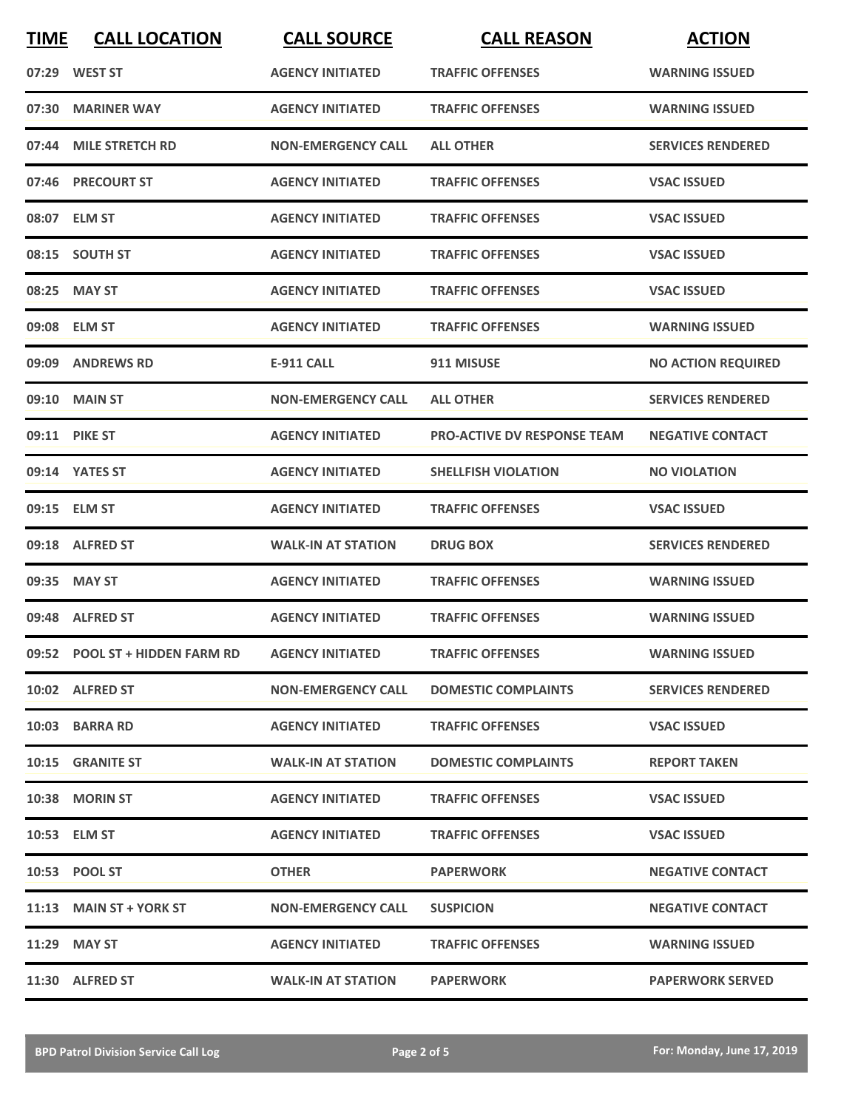| <b>TIME</b> | <b>CALL LOCATION</b>           | <b>CALL SOURCE</b>        | <b>CALL REASON</b>                 | <b>ACTION</b>             |
|-------------|--------------------------------|---------------------------|------------------------------------|---------------------------|
|             | 07:29 WEST ST                  | <b>AGENCY INITIATED</b>   | <b>TRAFFIC OFFENSES</b>            | <b>WARNING ISSUED</b>     |
| 07:30       | <b>MARINER WAY</b>             | <b>AGENCY INITIATED</b>   | <b>TRAFFIC OFFENSES</b>            | <b>WARNING ISSUED</b>     |
|             | 07:44 MILE STRETCH RD          | <b>NON-EMERGENCY CALL</b> | <b>ALL OTHER</b>                   | <b>SERVICES RENDERED</b>  |
|             | 07:46 PRECOURT ST              | <b>AGENCY INITIATED</b>   | <b>TRAFFIC OFFENSES</b>            | <b>VSAC ISSUED</b>        |
|             | 08:07 ELM ST                   | <b>AGENCY INITIATED</b>   | <b>TRAFFIC OFFENSES</b>            | <b>VSAC ISSUED</b>        |
|             | 08:15 SOUTH ST                 | <b>AGENCY INITIATED</b>   | <b>TRAFFIC OFFENSES</b>            | <b>VSAC ISSUED</b>        |
|             | 08:25 MAY ST                   | <b>AGENCY INITIATED</b>   | <b>TRAFFIC OFFENSES</b>            | <b>VSAC ISSUED</b>        |
|             | 09:08 ELM ST                   | <b>AGENCY INITIATED</b>   | <b>TRAFFIC OFFENSES</b>            | <b>WARNING ISSUED</b>     |
|             | 09:09 ANDREWS RD               | <b>E-911 CALL</b>         | 911 MISUSE                         | <b>NO ACTION REQUIRED</b> |
| 09:10       | <b>MAIN ST</b>                 | <b>NON-EMERGENCY CALL</b> | <b>ALL OTHER</b>                   | <b>SERVICES RENDERED</b>  |
|             | 09:11 PIKE ST                  | <b>AGENCY INITIATED</b>   | <b>PRO-ACTIVE DV RESPONSE TEAM</b> | <b>NEGATIVE CONTACT</b>   |
|             | 09:14 YATES ST                 | <b>AGENCY INITIATED</b>   | <b>SHELLFISH VIOLATION</b>         | <b>NO VIOLATION</b>       |
|             | 09:15 ELM ST                   | <b>AGENCY INITIATED</b>   | <b>TRAFFIC OFFENSES</b>            | <b>VSAC ISSUED</b>        |
|             | 09:18 ALFRED ST                | <b>WALK-IN AT STATION</b> | <b>DRUG BOX</b>                    | <b>SERVICES RENDERED</b>  |
|             | 09:35 MAY ST                   | <b>AGENCY INITIATED</b>   | <b>TRAFFIC OFFENSES</b>            | <b>WARNING ISSUED</b>     |
|             | 09:48 ALFRED ST                | <b>AGENCY INITIATED</b>   | <b>TRAFFIC OFFENSES</b>            | <b>WARNING ISSUED</b>     |
|             | 09:52 POOL ST + HIDDEN FARM RD | <b>AGENCY INITIATED</b>   | <b>TRAFFIC OFFENSES</b>            | <b>WARNING ISSUED</b>     |
|             | 10:02 ALFRED ST                | <b>NON-EMERGENCY CALL</b> | <b>DOMESTIC COMPLAINTS</b>         | <b>SERVICES RENDERED</b>  |
|             | 10:03 BARRA RD                 | <b>AGENCY INITIATED</b>   | <b>TRAFFIC OFFENSES</b>            | <b>VSAC ISSUED</b>        |
|             | 10:15 GRANITE ST               | <b>WALK-IN AT STATION</b> | <b>DOMESTIC COMPLAINTS</b>         | <b>REPORT TAKEN</b>       |
|             | 10:38 MORIN ST                 | <b>AGENCY INITIATED</b>   | <b>TRAFFIC OFFENSES</b>            | <b>VSAC ISSUED</b>        |
|             | 10:53 ELM ST                   | <b>AGENCY INITIATED</b>   | <b>TRAFFIC OFFENSES</b>            | <b>VSAC ISSUED</b>        |
|             | 10:53 POOL ST                  | <b>OTHER</b>              | <b>PAPERWORK</b>                   | <b>NEGATIVE CONTACT</b>   |
|             | 11:13 MAIN ST + YORK ST        | <b>NON-EMERGENCY CALL</b> | <b>SUSPICION</b>                   | <b>NEGATIVE CONTACT</b>   |
|             | 11:29 MAY ST                   | <b>AGENCY INITIATED</b>   | <b>TRAFFIC OFFENSES</b>            | <b>WARNING ISSUED</b>     |
|             | 11:30 ALFRED ST                | <b>WALK-IN AT STATION</b> | <b>PAPERWORK</b>                   | <b>PAPERWORK SERVED</b>   |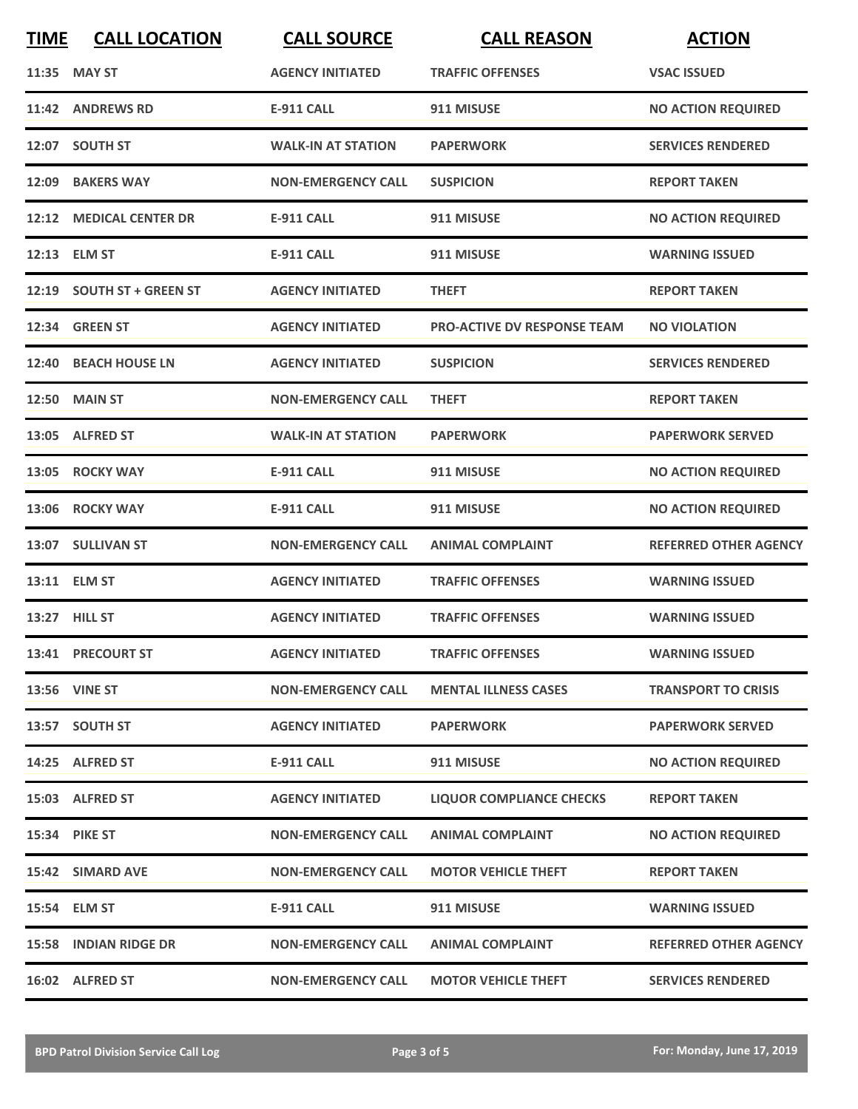| <b>TIME</b> | <b>CALL LOCATION</b>      | <b>CALL SOURCE</b>        | <b>CALL REASON</b>                 | <b>ACTION</b>                |
|-------------|---------------------------|---------------------------|------------------------------------|------------------------------|
|             | 11:35 MAY ST              | <b>AGENCY INITIATED</b>   | <b>TRAFFIC OFFENSES</b>            | <b>VSAC ISSUED</b>           |
|             | 11:42 ANDREWS RD          | <b>E-911 CALL</b>         | 911 MISUSE                         | <b>NO ACTION REQUIRED</b>    |
|             | 12:07 SOUTH ST            | <b>WALK-IN AT STATION</b> | <b>PAPERWORK</b>                   | <b>SERVICES RENDERED</b>     |
|             | 12:09 BAKERS WAY          | <b>NON-EMERGENCY CALL</b> | <b>SUSPICION</b>                   | <b>REPORT TAKEN</b>          |
|             | 12:12 MEDICAL CENTER DR   | <b>E-911 CALL</b>         | 911 MISUSE                         | <b>NO ACTION REQUIRED</b>    |
|             | 12:13 ELM ST              | <b>E-911 CALL</b>         | 911 MISUSE                         | <b>WARNING ISSUED</b>        |
|             | 12:19 SOUTH ST + GREEN ST | <b>AGENCY INITIATED</b>   | <b>THEFT</b>                       | <b>REPORT TAKEN</b>          |
|             | 12:34 GREEN ST            | <b>AGENCY INITIATED</b>   | <b>PRO-ACTIVE DV RESPONSE TEAM</b> | <b>NO VIOLATION</b>          |
|             | 12:40 BEACH HOUSE LN      | <b>AGENCY INITIATED</b>   | <b>SUSPICION</b>                   | <b>SERVICES RENDERED</b>     |
|             | <b>12:50 MAIN ST</b>      | <b>NON-EMERGENCY CALL</b> | <b>THEFT</b>                       | <b>REPORT TAKEN</b>          |
|             | 13:05 ALFRED ST           | <b>WALK-IN AT STATION</b> | <b>PAPERWORK</b>                   | <b>PAPERWORK SERVED</b>      |
|             | 13:05 ROCKY WAY           | <b>E-911 CALL</b>         | 911 MISUSE                         | <b>NO ACTION REQUIRED</b>    |
|             | 13:06 ROCKY WAY           | <b>E-911 CALL</b>         | 911 MISUSE                         | <b>NO ACTION REQUIRED</b>    |
|             | 13:07 SULLIVAN ST         | <b>NON-EMERGENCY CALL</b> | <b>ANIMAL COMPLAINT</b>            | <b>REFERRED OTHER AGENCY</b> |
|             | 13:11 ELM ST              | <b>AGENCY INITIATED</b>   | <b>TRAFFIC OFFENSES</b>            | <b>WARNING ISSUED</b>        |
|             | 13:27 HILL ST             | <b>AGENCY INITIATED</b>   | <b>TRAFFIC OFFENSES</b>            | <b>WARNING ISSUED</b>        |
|             | 13:41 PRECOURT ST         | <b>AGENCY INITIATED</b>   | <b>TRAFFIC OFFENSES</b>            | <b>WARNING ISSUED</b>        |
|             | 13:56 VINE ST             | <b>NON-EMERGENCY CALL</b> | <b>MENTAL ILLNESS CASES</b>        | <b>TRANSPORT TO CRISIS</b>   |
|             | 13:57 SOUTH ST            | <b>AGENCY INITIATED</b>   | <b>PAPERWORK</b>                   | <b>PAPERWORK SERVED</b>      |
|             | 14:25 ALFRED ST           | <b>E-911 CALL</b>         | 911 MISUSE                         | <b>NO ACTION REQUIRED</b>    |
|             | 15:03 ALFRED ST           | <b>AGENCY INITIATED</b>   | LIQUOR COMPLIANCE CHECKS           | <b>REPORT TAKEN</b>          |
|             | 15:34 PIKE ST             | <b>NON-EMERGENCY CALL</b> | <b>ANIMAL COMPLAINT</b>            | <b>NO ACTION REQUIRED</b>    |
|             | 15:42 SIMARD AVE          | <b>NON-EMERGENCY CALL</b> | <b>MOTOR VEHICLE THEFT</b>         | <b>REPORT TAKEN</b>          |
|             | 15:54 ELM ST              | <b>E-911 CALL</b>         | 911 MISUSE                         | <b>WARNING ISSUED</b>        |
|             | 15:58 INDIAN RIDGE DR     | <b>NON-EMERGENCY CALL</b> | <b>ANIMAL COMPLAINT</b>            | <b>REFERRED OTHER AGENCY</b> |
|             | 16:02 ALFRED ST           | <b>NON-EMERGENCY CALL</b> | <b>MOTOR VEHICLE THEFT</b>         | <b>SERVICES RENDERED</b>     |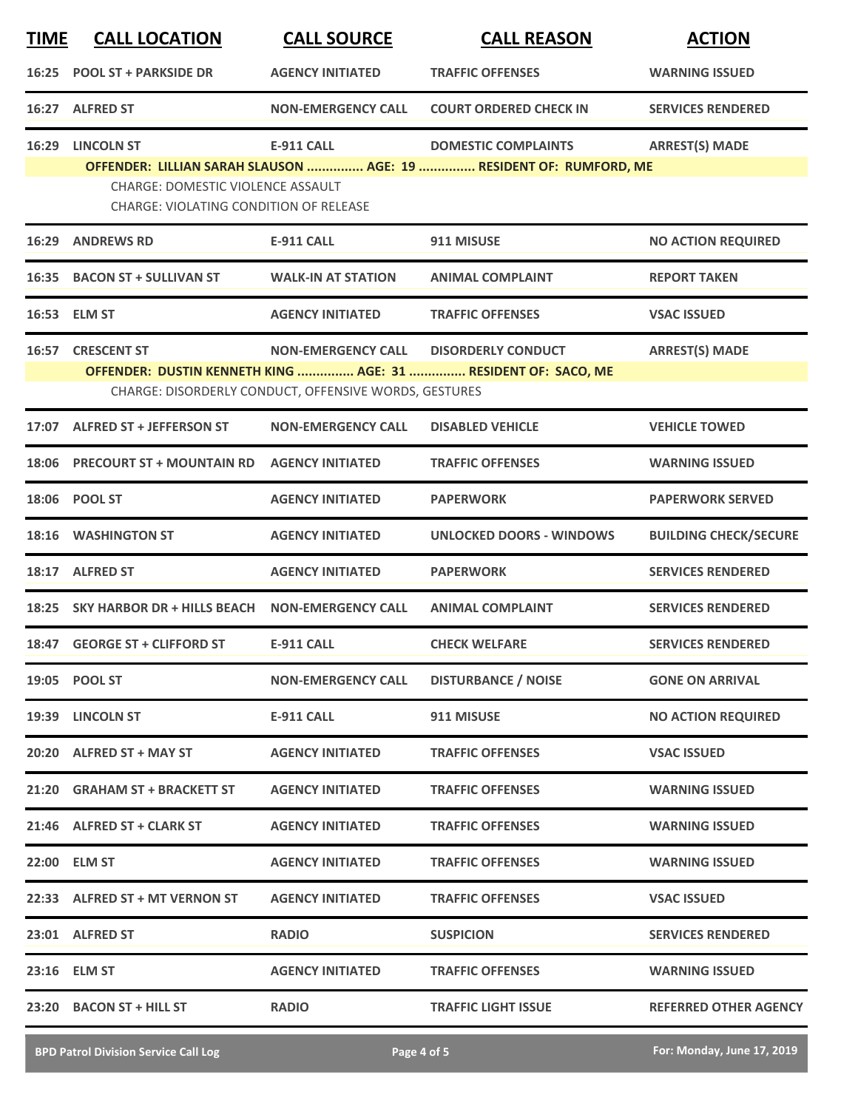| <b>TIME</b> | <b>CALL LOCATION</b>                          | <b>CALL SOURCE</b>                                    | <b>CALL REASON</b>                                                 | <b>ACTION</b>                |
|-------------|-----------------------------------------------|-------------------------------------------------------|--------------------------------------------------------------------|------------------------------|
| 16:25       | <b>POOL ST + PARKSIDE DR</b>                  | <b>AGENCY INITIATED</b>                               | <b>TRAFFIC OFFENSES</b>                                            | <b>WARNING ISSUED</b>        |
|             | 16:27 ALFRED ST                               | <b>NON-EMERGENCY CALL</b>                             | <b>COURT ORDERED CHECK IN</b>                                      | <b>SERVICES RENDERED</b>     |
| 16:29       | <b>LINCOLN ST</b>                             | <b>E-911 CALL</b>                                     | <b>DOMESTIC COMPLAINTS</b>                                         | <b>ARREST(S) MADE</b>        |
|             | CHARGE: DOMESTIC VIOLENCE ASSAULT             |                                                       | OFFENDER: LILLIAN SARAH SLAUSON  AGE: 19  RESIDENT OF: RUMFORD, ME |                              |
|             | <b>CHARGE: VIOLATING CONDITION OF RELEASE</b> |                                                       |                                                                    |                              |
|             | <b>16:29 ANDREWS RD</b>                       | <b>E-911 CALL</b>                                     | 911 MISUSE                                                         | <b>NO ACTION REQUIRED</b>    |
| 16:35       | <b>BACON ST + SULLIVAN ST</b>                 | <b>WALK-IN AT STATION</b>                             | <b>ANIMAL COMPLAINT</b>                                            | <b>REPORT TAKEN</b>          |
|             | 16:53 ELM ST                                  | <b>AGENCY INITIATED</b>                               | <b>TRAFFIC OFFENSES</b>                                            | <b>VSAC ISSUED</b>           |
| 16:57       | <b>CRESCENT ST</b>                            | <b>NON-EMERGENCY CALL</b>                             | <b>DISORDERLY CONDUCT</b>                                          | <b>ARREST(S) MADE</b>        |
|             |                                               | CHARGE: DISORDERLY CONDUCT, OFFENSIVE WORDS, GESTURES | OFFENDER: DUSTIN KENNETH KING  AGE: 31  RESIDENT OF: SACO, ME      |                              |
|             | 17:07 ALFRED ST + JEFFERSON ST                | <b>NON-EMERGENCY CALL</b>                             | <b>DISABLED VEHICLE</b>                                            | <b>VEHICLE TOWED</b>         |
|             |                                               |                                                       |                                                                    |                              |
| 18:06       | <b>PRECOURT ST + MOUNTAIN RD</b>              | <b>AGENCY INITIATED</b>                               | <b>TRAFFIC OFFENSES</b>                                            | <b>WARNING ISSUED</b>        |
| 18:06       | <b>POOL ST</b>                                | <b>AGENCY INITIATED</b>                               | <b>PAPERWORK</b>                                                   | <b>PAPERWORK SERVED</b>      |
|             | <b>18:16 WASHINGTON ST</b>                    | <b>AGENCY INITIATED</b>                               | <b>UNLOCKED DOORS - WINDOWS</b>                                    | <b>BUILDING CHECK/SECURE</b> |
|             | 18:17 ALFRED ST                               | <b>AGENCY INITIATED</b>                               | <b>PAPERWORK</b>                                                   | <b>SERVICES RENDERED</b>     |
|             | 18:25 SKY HARBOR DR + HILLS BEACH             | <b>NON-EMERGENCY CALL</b>                             | <b>ANIMAL COMPLAINT</b>                                            | <b>SERVICES RENDERED</b>     |
|             | 18:47 GEORGE ST + CLIFFORD ST                 | <b>E-911 CALL</b>                                     | <b>CHECK WELFARE</b>                                               | <b>SERVICES RENDERED</b>     |
|             | 19:05 POOL ST                                 | <b>NON-EMERGENCY CALL</b>                             | <b>DISTURBANCE / NOISE</b>                                         | <b>GONE ON ARRIVAL</b>       |
|             | 19:39 LINCOLN ST                              | E-911 CALL                                            | 911 MISUSE                                                         | <b>NO ACTION REQUIRED</b>    |
|             | 20:20 ALFRED ST + MAY ST                      | <b>AGENCY INITIATED</b>                               | <b>TRAFFIC OFFENSES</b>                                            | <b>VSAC ISSUED</b>           |
|             | 21:20 GRAHAM ST + BRACKETT ST                 | <b>AGENCY INITIATED</b>                               | <b>TRAFFIC OFFENSES</b>                                            | <b>WARNING ISSUED</b>        |
|             | 21:46 ALFRED ST + CLARK ST                    | <b>AGENCY INITIATED</b>                               | <b>TRAFFIC OFFENSES</b>                                            | <b>WARNING ISSUED</b>        |
|             | 22:00 ELM ST                                  | <b>AGENCY INITIATED</b>                               | <b>TRAFFIC OFFENSES</b>                                            | <b>WARNING ISSUED</b>        |
|             | 22:33 ALFRED ST + MT VERNON ST                | <b>AGENCY INITIATED</b>                               | <b>TRAFFIC OFFENSES</b>                                            | <b>VSAC ISSUED</b>           |
|             | 23:01 ALFRED ST                               | <b>RADIO</b>                                          | <b>SUSPICION</b>                                                   | <b>SERVICES RENDERED</b>     |
|             | 23:16 ELM ST                                  | <b>AGENCY INITIATED</b>                               | <b>TRAFFIC OFFENSES</b>                                            | <b>WARNING ISSUED</b>        |
|             | 23:20 BACON ST + HILL ST                      | <b>RADIO</b>                                          | <b>TRAFFIC LIGHT ISSUE</b>                                         | <b>REFERRED OTHER AGENCY</b> |